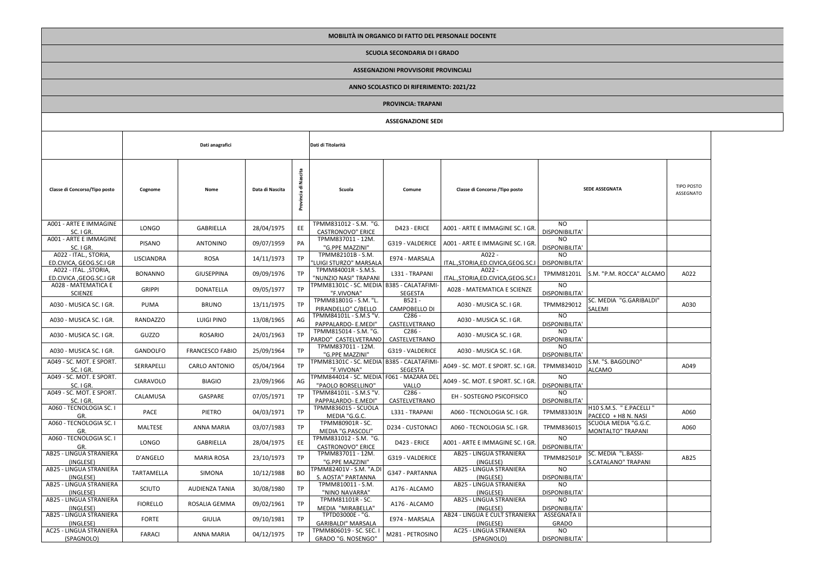**MOBILITÀ IN ORGANICO DI FATTO DEL PERSONALE DOCENTE SCUOLA SECONDARIA DI I GRADO**

## **ASSEGNAZIONI PROVVISORIE PROVINCIALI**

## **ANNO SCOLASTICO DI RIFERIMENTO: 2021/22**

|                                                   | ANNO SCOLASTICO DI NIFENIMENTO. 2021/22 |                        |                 |                         |                                                                |                                   |                                                    |                              |                                                  |                                |  |  |  |
|---------------------------------------------------|-----------------------------------------|------------------------|-----------------|-------------------------|----------------------------------------------------------------|-----------------------------------|----------------------------------------------------|------------------------------|--------------------------------------------------|--------------------------------|--|--|--|
|                                                   | <b>PROVINCIA: TRAPANI</b>               |                        |                 |                         |                                                                |                                   |                                                    |                              |                                                  |                                |  |  |  |
| <b>ASSEGNAZIONE SEDI</b>                          |                                         |                        |                 |                         |                                                                |                                   |                                                    |                              |                                                  |                                |  |  |  |
|                                                   | Dati anagrafici                         |                        |                 |                         | Dati di Titolarità                                             |                                   |                                                    |                              |                                                  |                                |  |  |  |
| Classe di Concorso/Tipo posto                     | Cognome                                 | Nome                   | Data di Nascita | Nascita<br>Provincia di | Scuola                                                         | Comune                            | Classe di Concorso / Tipo posto                    | <b>SEDE ASSEGNATA</b>        |                                                  | <b>TIPO POSTO</b><br>ASSEGNATO |  |  |  |
| A001 - ARTE E IMMAGINE<br>SC. I GR.               | LONGO                                   | <b>GABRIELLA</b>       | 28/04/1975      | EE                      | TPMM831012 - S.M. "G.<br><b>CASTRONOVO" ERICE</b>              | D423 - ERICE                      | A001 - ARTE E IMMAGINE SC. I GR.                   | NO.<br>DISPONIBILITA'        |                                                  |                                |  |  |  |
| A001 - ARTE E IMMAGINE<br>SC. I GR.               | <b>PISANO</b>                           | <b>ANTONINO</b>        | 09/07/1959      | PA                      | TPMM837011 - 12M.<br>"G.PPE MAZZINI"                           | G319 - VALDERICE                  | A001 - ARTE E IMMAGINE SC. I GR.                   | NO<br>DISPONIBILITA'         |                                                  |                                |  |  |  |
| A022 - ITAL., STORIA,<br>ED.CIVICA, GEOG.SC.I GR  | LISCIANDRA                              | <b>ROSA</b>            | 14/11/1973      | TP                      | TPMM82101B - S.M.<br>LUIGI STURZO" MARSALA                     | E974 - MARSALA                    | $A022 -$<br>ITAL., STORIA, ED. CIVICA, GEOG. SC. I | NO<br>DISPONIBILITA'         |                                                  |                                |  |  |  |
| A022 - ITAL., STORIA,<br>ED.CIVICA , GEOG.SC.I GR | <b>BONANNO</b>                          | <b>GIUSEPPINA</b>      | 09/09/1976      | TP                      | TPMM84001R - S.M.S.<br>"NUNZIO NASI" TRAPANI                   | L331 - TRAPANI                    | $A022 -$<br>ITAL., STORIA, ED. CIVICA, GEOG. SC. I | TPMM81201L                   | S.M. "P.M. ROCCA" ALCAMO                         | A022                           |  |  |  |
| A028 - MATEMATICA E<br><b>SCIENZE</b>             | <b>GRIPPI</b>                           | <b>DONATELLA</b>       | 09/05/1977      | <b>TP</b>               | TPMM81301C - SC. MEDIA B385 - CALATAFIMI-<br>"F.VIVONA"        | SEGESTA                           | A028 - MATEMATICA E SCIENZE                        | NO.<br>DISPONIBILITA'        |                                                  |                                |  |  |  |
| A030 - MUSICA SC. I GR.                           | PUMA                                    | <b>BRUNO</b>           | 13/11/1975      | TP                      | TPMM81801G - S.M. "L.<br>PIRANDELLO" C/BELLO                   | B521-<br>CAMPOBELLO DI            | A030 - MUSICA SC. I GR.                            | TPMM829012                   | SC. MEDIA "G.GARIBALDI"<br>SALEMI                | A030                           |  |  |  |
| A030 - MUSICA SC. I GR.                           | RANDAZZO                                | LUIGI PINO             | 13/08/1965      | AG                      | TPMM84101L - S.M.S "V.<br>PAPPALARDO- E.MEDI"                  | C <sub>286</sub><br>CASTELVETRANO | A030 - MUSICA SC. I GR.                            | NO.<br>DISPONIBILITA'        |                                                  |                                |  |  |  |
| A030 - MUSICA SC. I GR.                           | GUZZO                                   | ROSARIO                | 24/01/1963      | TP                      | TPMM815014 - S.M. "G.<br>PARDO" CASTELVETRANO                  | $C286 -$<br>CASTELVETRANO         | A030 - MUSICA SC. I GR.                            | NO.<br>DISPONIBILITA'        |                                                  |                                |  |  |  |
| A030 - MUSICA SC. I GR.                           | <b>GANDOLFO</b>                         | <b>FRANCESCO FABIO</b> | 25/09/1964      | TP                      | TPMM837011 - 12M.<br>"G.PPE MAZZINI"                           | G319 - VALDERICE                  | A030 - MUSICA SC. I GR.                            | NO.<br>DISPONIBILITA'        |                                                  |                                |  |  |  |
| A049 - SC. MOT. E SPORT.<br>SC. I GR.             | SERRAPELLI                              | CARLO ANTONIO          | 05/04/1964      | TP                      | TPMM81301C - SC. MEDIA B385 - CALATAFIMI-<br>"F.VIVONA"        | <b>SEGESTA</b>                    | A049 - SC. MOT. E SPORT. SC. I GR.                 | TPMM83401D                   | S.M. "S. BAGOLINO"<br>ALCAMO                     | A049                           |  |  |  |
| A049 - SC. MOT. E SPORT.<br>SC. I GR.             | <b>CIARAVOLO</b>                        | <b>BIAGIO</b>          | 23/09/1966      | AG                      | TPMM844014 - SC. MEDIA F061 - MAZARA DEL<br>"PAOLO BORSELLINO" | VALLO                             | A049 - SC. MOT. E SPORT. SC. I GR.                 | NO.<br>DISPONIBILITA'        |                                                  |                                |  |  |  |
| A049 - SC. MOT. E SPORT.<br>SC. I GR.             | CALAMUSA                                | GASPARE                | 07/05/1971      | TP                      | TPMM84101L - S.M.S "V.<br>PAPPALARDO- E.MEDI"                  | C <sub>286</sub><br>CASTELVETRANO | EH - SOSTEGNO PSICOFISICO                          | NO.<br><b>DISPONIBILITA'</b> |                                                  |                                |  |  |  |
| A060 - TECNOLOGIA SC. I<br>GR.                    | PACE                                    | PIETRO                 | 04/03/1971      | TP                      | TPMM836015 - SCUOLA<br>MEDIA "G.G.C.                           | L331 - TRAPANI                    | A060 - TECNOLOGIA SC. I GR.                        | <b>TPMM83301N</b>            | H10 S.M.S. " E.PACELLI "<br>PACECO + H8 N. NASI  | A060                           |  |  |  |
| A060 - TECNOLOGIA SC. I<br>GR.                    | MALTESE                                 | <b>ANNA MARIA</b>      | 03/07/1983      | TP                      | TPMM80901R - SC.<br>MEDIA "G.PASCOLI"                          | D234 - CUSTONACI                  | A060 - TECNOLOGIA SC. I GR.                        | TPMM836015                   | SCUOLA MEDIA "G.G.C.<br><b>MONTALTO" TRAPANI</b> | A060                           |  |  |  |
| A060 - TECNOLOGIA SC. I<br>GR.                    | LONGO                                   | <b>GABRIELLA</b>       | 28/04/1975      | EE                      | TPMM831012 - S.M. "G.<br><b>CASTRONOVO" ERICE</b>              | D423 - ERICE                      | A001 - ARTE E IMMAGINE SC. I GR.                   | NO.<br>DISPONIBILITA'        |                                                  |                                |  |  |  |
| AB25 - LINGUA STRANIERA<br>(INGLESE)              | D'ANGELO                                | <b>MARIA ROSA</b>      | 23/10/1973      | TP                      | TPMM837011 - 12M.<br>"G.PPE MAZZINI"                           | G319 - VALDERICE                  | AB25 - LINGUA STRANIERA<br>(INGLESE)               | TPMM82501P                   | SC. MEDIA "L.BASSI-<br>S.CATALANO" TRAPANI       | AB25                           |  |  |  |
| AB25 - LINGUA STRANIERA<br>(INGLESE)              | <b>TARTAMELLA</b>                       | SIMONA                 | 10/12/1988      | <b>BO</b>               | TPMM82401V - S.M. "A.D<br>S. AOSTA" PARTANNA                   | G347 - PARTANNA                   | AB25 - LINGUA STRANIERA<br>(INGLESE)               | <b>NO</b><br>DISPONIBILITA'  |                                                  |                                |  |  |  |
| AB25 - LINGUA STRANIERA<br>(INGLESE)              | <b>SCIUTO</b>                           | <b>AUDIENZA TANIA</b>  | 30/08/1980      | TP                      | TPMM810011 - S.M.<br>"NINO NAVARRA"                            | A176 - ALCAMO                     | AB25 - LINGUA STRANIERA<br>(INGLESE)               | NO<br>DISPONIBILITA'         |                                                  |                                |  |  |  |
| AB25 - LINGUA STRANIERA<br>(INGLESE)              | <b>FIORELLO</b>                         | ROSALIA GEMMA          | 09/02/1961      | TP                      | TPMM81101R - SC.<br>MEDIA "MIRABELLA"                          | A176 - ALCAMO                     | AB25 - LINGUA STRANIERA<br>(INGLESE)               | NO<br>DISPONIBILITA'         |                                                  |                                |  |  |  |
| AB25 - LINGUA STRANIERA<br>(INGLESE)              | <b>FORTE</b>                            | <b>GIULIA</b>          | 09/10/1981      | TP                      | TPTD03000E - "G.<br><b>GARIBALDI" MARSALA</b>                  | E974 - MARSALA                    | AB24 - LINGUA E CULT STRANIERA<br>(INGLESE)        | ASSEGNATA II<br><b>GRADO</b> |                                                  |                                |  |  |  |
| AC25 - LINGUA STRANIERA<br>(SPAGNOLO)             | <b>FARACI</b>                           | <b>ANNA MARIA</b>      | 04/12/1975      | TP                      | TPMM806019 - SC. SEC.<br>GRADO "G. NOSENGO"                    | M281 - PETROSINO                  | AC25 - LINGUA STRANIERA<br>(SPAGNOLO)              | NO<br>DISPONIBILITA'         |                                                  |                                |  |  |  |